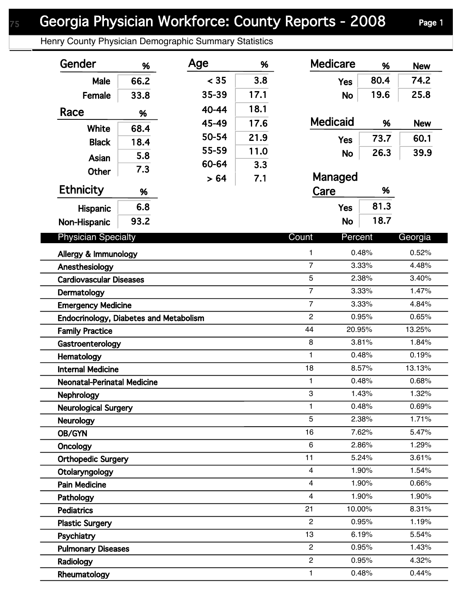Henry County Physician Demographic Summary Statistics

| Gender                                        | %    | Age   | %    | <b>Medicare</b>               | %              | <b>New</b>     |
|-----------------------------------------------|------|-------|------|-------------------------------|----------------|----------------|
| Male                                          | 66.2 | < 35  | 3.8  | <b>Yes</b>                    | 80.4           | 74.2           |
| Female                                        | 33.8 | 35-39 | 17.1 | <b>No</b>                     | 19.6           | 25.8           |
| Race                                          |      | 40-44 | 18.1 |                               |                |                |
|                                               | %    | 45-49 | 17.6 | <b>Medicaid</b>               | %              | <b>New</b>     |
| White                                         | 68.4 | 50-54 | 21.9 | <b>Yes</b>                    | 73.7           | 60.1           |
| <b>Black</b>                                  | 18.4 | 55-59 | 11.0 |                               | 26.3           | 39.9           |
| Asian                                         | 5.8  | 60-64 | 3.3  | <b>No</b>                     |                |                |
| <b>Other</b>                                  | 7.3  | > 64  | 7.1  | Managed                       |                |                |
| <b>Ethnicity</b>                              | %    |       |      | Care                          | %              |                |
| <b>Hispanic</b>                               | 6.8  |       |      | <b>Yes</b>                    | 81.3           |                |
| Non-Hispanic                                  | 93.2 |       |      | <b>No</b>                     | 18.7           |                |
|                                               |      |       |      |                               |                |                |
| <b>Physician Specialty</b>                    |      |       |      | Count<br>Percent              |                | Georgia        |
| Allergy & Immunology                          |      |       |      | 1                             | 0.48%          | 0.52%          |
| Anesthesiology                                |      |       |      | $\overline{7}$                | 3.33%          | 4.48%          |
| <b>Cardiovascular Diseases</b>                |      |       |      | 5                             | 2.38%          | 3.40%          |
| Dermatology                                   |      |       |      | $\overline{7}$                | 3.33%          | 1.47%          |
| <b>Emergency Medicine</b>                     |      |       |      | $\overline{7}$                | 3.33%          | 4.84%          |
| <b>Endocrinology, Diabetes and Metabolism</b> |      |       |      | $\overline{c}$                | 0.95%          | 0.65%          |
| <b>Family Practice</b>                        |      |       |      | 20.95%<br>44                  |                | 13.25%         |
| Gastroenterology                              |      |       |      | 8                             | 3.81%          | 1.84%          |
| Hematology                                    |      |       |      | 1                             | 0.48%          | 0.19%          |
| <b>Internal Medicine</b>                      |      |       |      | 18                            | 8.57%          | 13.13%         |
| <b>Neonatal-Perinatal Medicine</b>            |      |       |      | 1                             | 0.48%          | 0.68%          |
| <b>Nephrology</b>                             |      |       |      | 3                             | 1.43%          | 1.32%          |
| <b>Neurological Surgery</b>                   |      |       |      | 1                             | 0.48%          | 0.69%          |
| <b>Neurology</b>                              |      |       |      | 5                             | 2.38%          | 1.71%          |
| OB/GYN                                        |      |       |      | 16                            | 7.62%          | 5.47%          |
| <b>Oncology</b>                               |      |       |      | 6                             | 2.86%          | 1.29%          |
| <b>Orthopedic Surgery</b>                     |      |       |      | 11                            | 5.24%          | 3.61%          |
| Otolaryngology                                |      |       |      | 4                             | 1.90%          | 1.54%<br>0.66% |
| <b>Pain Medicine</b>                          |      |       |      | 4                             | 1.90%          |                |
| Pathology                                     |      |       |      | $\overline{\mathbf{4}}$<br>21 | 1.90%          | 1.90%          |
| <b>Pediatrics</b>                             |      |       |      | 10.00%<br>$\overline{2}$      | 0.95%          | 8.31%<br>1.19% |
| <b>Plastic Surgery</b>                        |      |       |      | 13                            | 6.19%          | 5.54%          |
| Psychiatry                                    |      |       |      | $\overline{2}$                |                |                |
| <b>Pulmonary Diseases</b>                     |      |       |      | $\overline{c}$                | 0.95%<br>0.95% | 1.43%<br>4.32% |
| Radiology                                     |      |       |      |                               | 0.48%          | 0.44%          |
| Rheumatology                                  |      |       |      | 1                             |                |                |